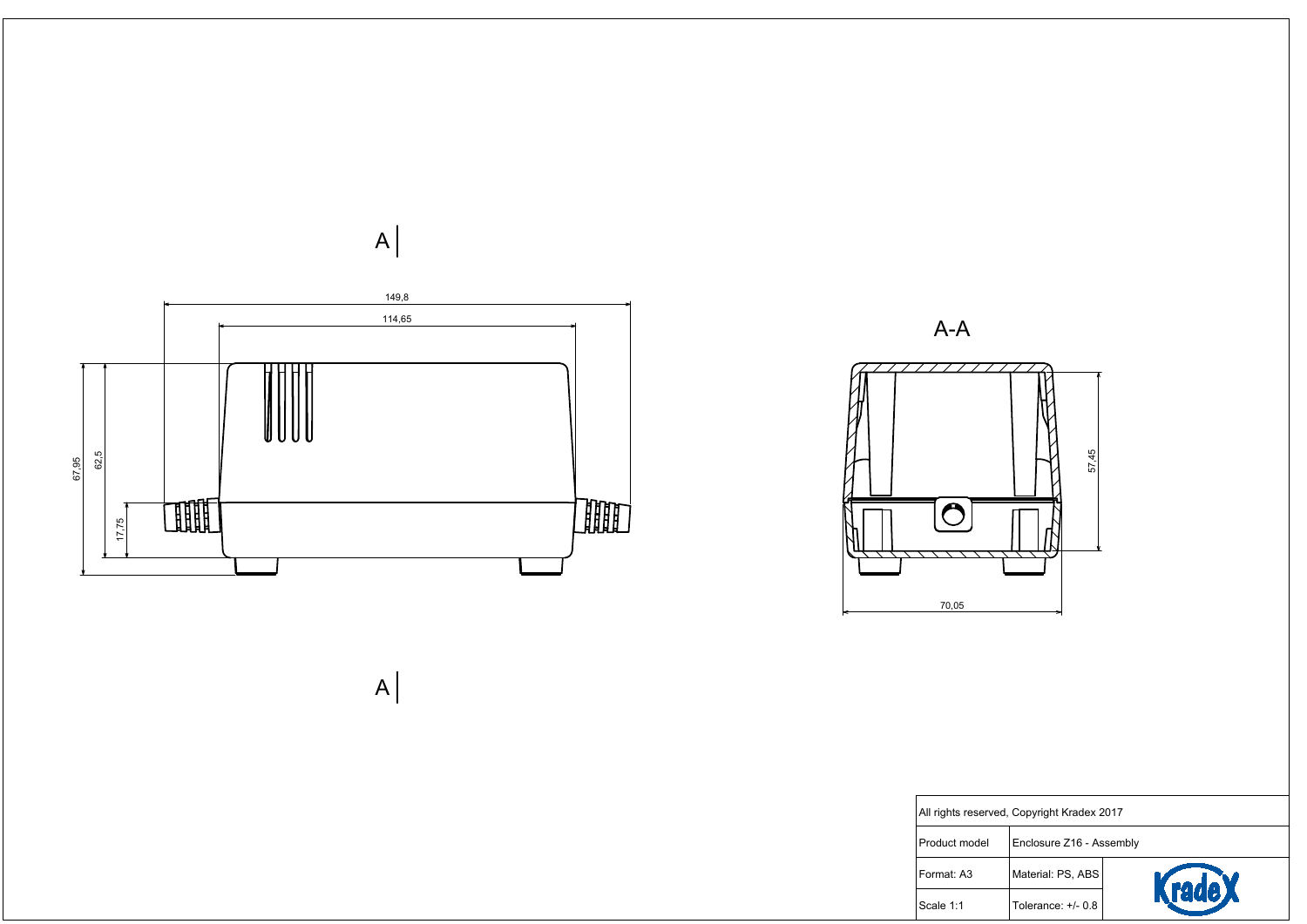



| rved, Copyright Kradex 2017 |                          |        |  |  |
|-----------------------------|--------------------------|--------|--|--|
|                             | Enclosure Z16 - Assembly |        |  |  |
|                             | Material: PS, ABS        | KradeX |  |  |
|                             | Tolerance: +/- 0.8       |        |  |  |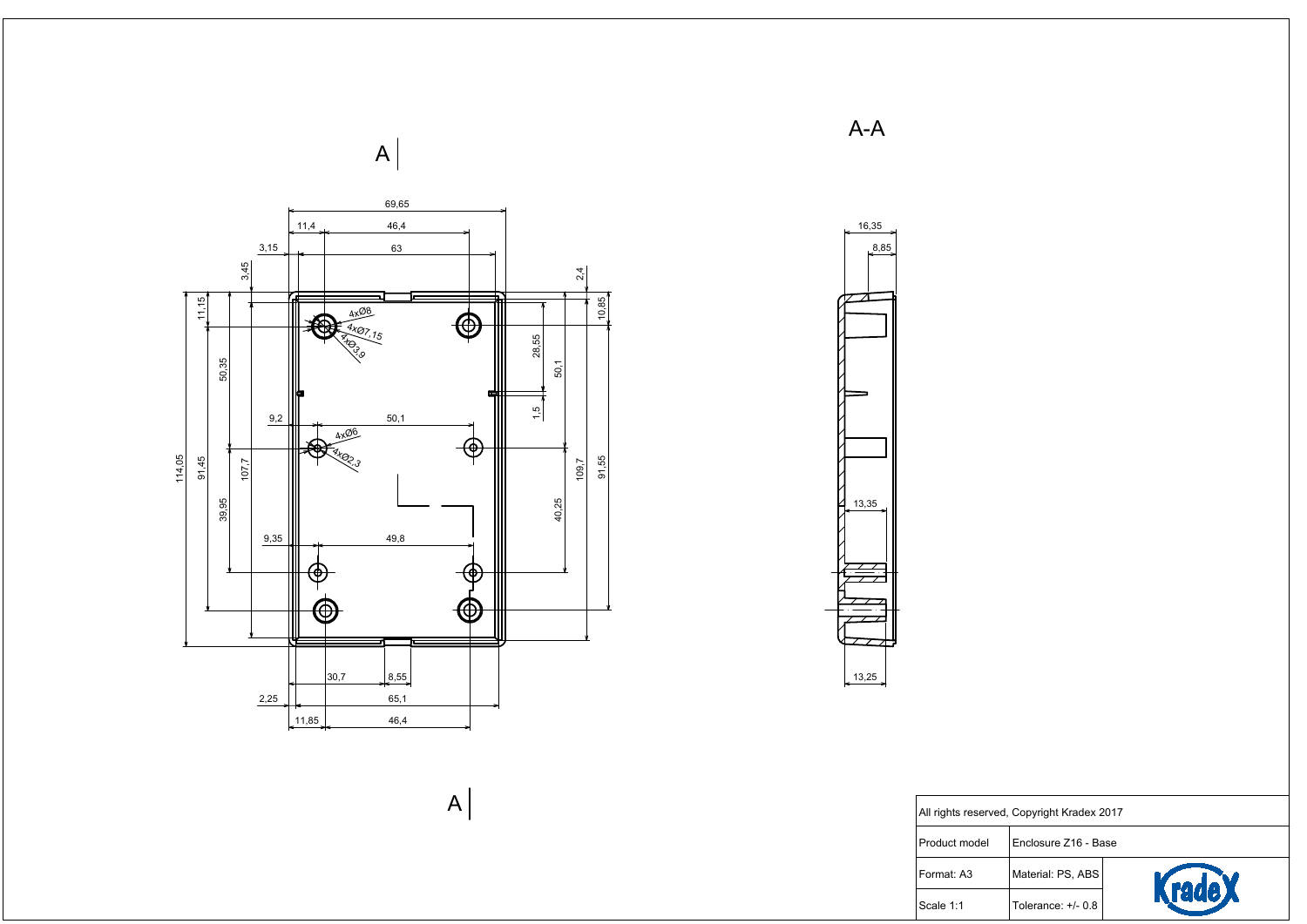



| rved, Copyright Kradex 2017 |                      |               |  |  |
|-----------------------------|----------------------|---------------|--|--|
|                             | Enclosure Z16 - Base |               |  |  |
|                             | Material: PS, ABS    |               |  |  |
|                             | Tolerance: $+/- 0.8$ | <b>rade X</b> |  |  |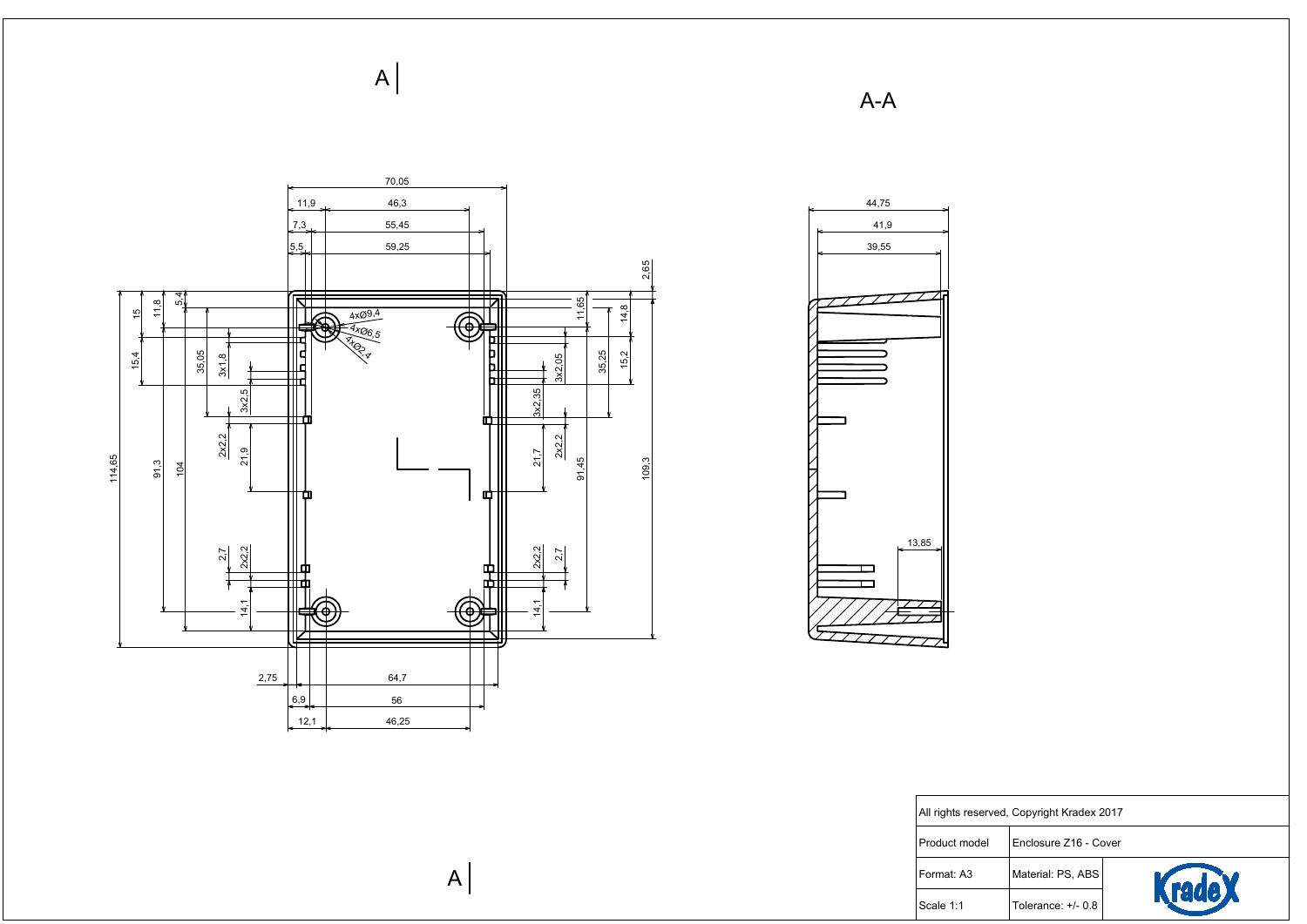

All rights reser

Product model

Format: A3

 $\vert$ Scale 1:1

| rved, Copyright Kradex 2017 |                       |        |  |  |
|-----------------------------|-----------------------|--------|--|--|
|                             | Enclosure Z16 - Cover |        |  |  |
|                             | Material: PS, ABS     |        |  |  |
|                             | Tolerance: +/- 0.8    | rade X |  |  |

 $A-A$ 



 $\mathsf{A}$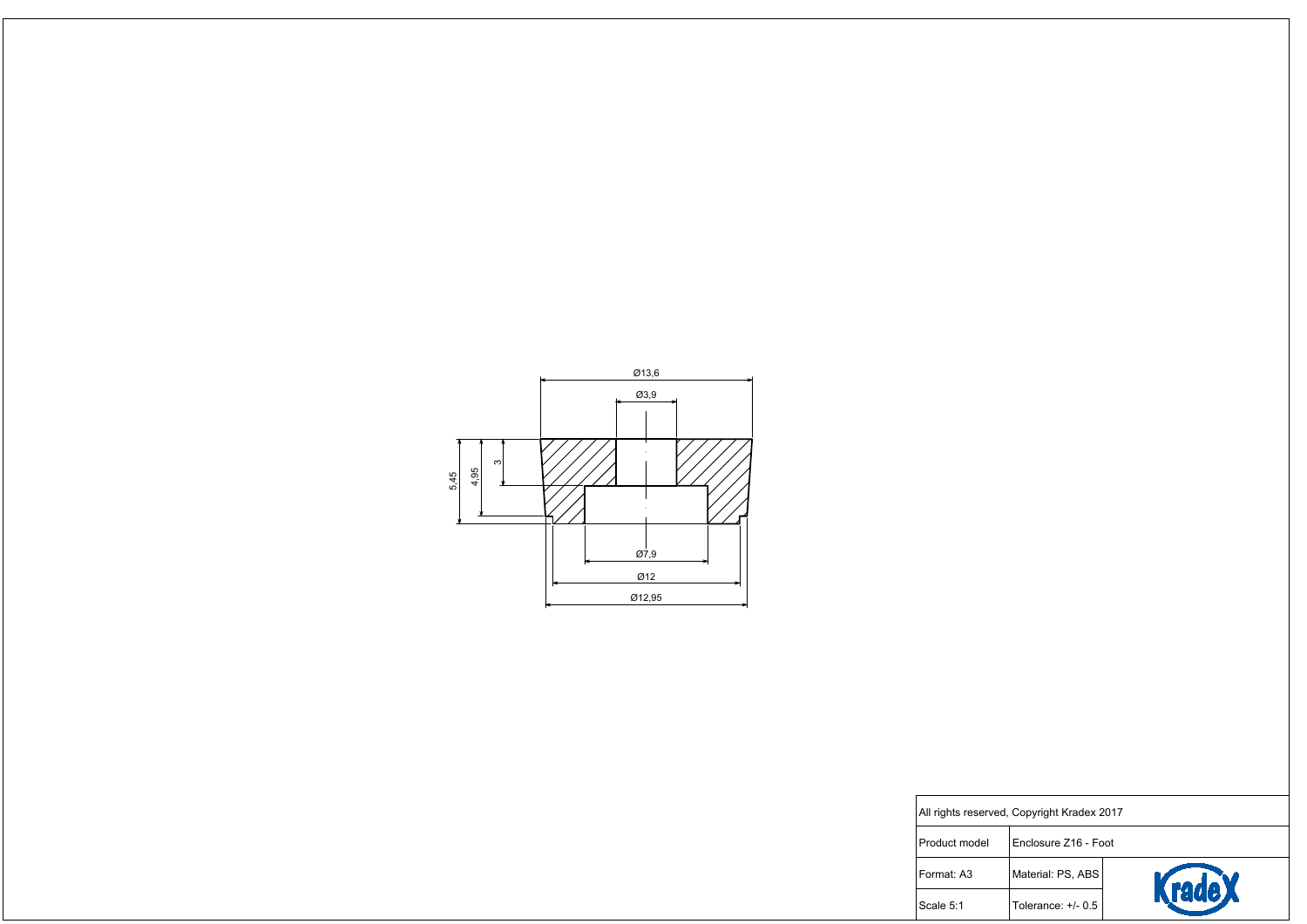

| rved, Copyright Kradex 2017 |                      |        |  |  |
|-----------------------------|----------------------|--------|--|--|
|                             | Enclosure Z16 - Foot |        |  |  |
|                             | Material: PS, ABS    | KradeX |  |  |
|                             | Tolerance: $+/- 0.5$ |        |  |  |